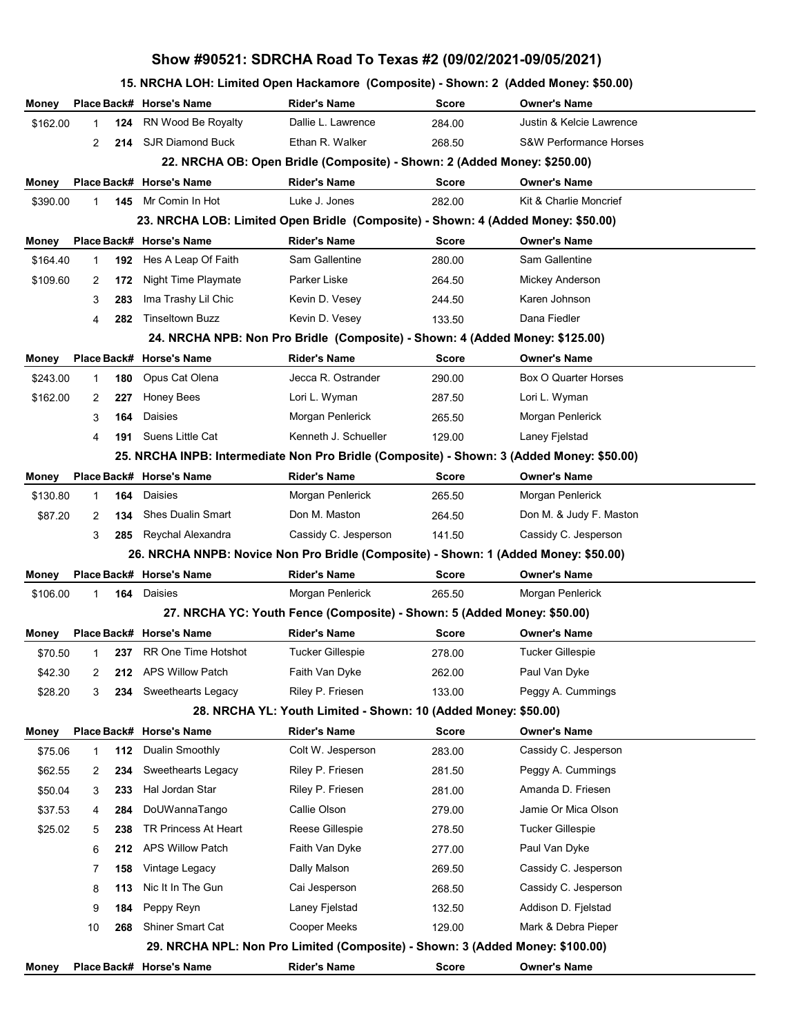## **Show #90521: SDRCHA Road To Texas #2 (09/02/2021-09/05/2021)**

## **15. NRCHA LOH: Limited Open Hackamore (Composite) - Shown: 2 (Added Money: \$50.00)**

| Money    |             |     | Place Back# Horse's Name                                                                  | <b>Rider's Name</b>                                                           | <b>Score</b> | <b>Owner's Name</b>               |
|----------|-------------|-----|-------------------------------------------------------------------------------------------|-------------------------------------------------------------------------------|--------------|-----------------------------------|
| \$162.00 | $\mathbf 1$ | 124 | RN Wood Be Royalty                                                                        | Dallie L. Lawrence                                                            | 284.00       | Justin & Kelcie Lawrence          |
|          | 2           |     | 214 SJR Diamond Buck                                                                      | Ethan R. Walker                                                               | 268.50       | <b>S&amp;W Performance Horses</b> |
|          |             |     |                                                                                           | 22. NRCHA OB: Open Bridle (Composite) - Shown: 2 (Added Money: \$250.00)      |              |                                   |
| Money    |             |     | Place Back# Horse's Name                                                                  | <b>Rider's Name</b>                                                           | <b>Score</b> | <b>Owner's Name</b>               |
| \$390.00 | 1           | 145 | Mr Comin In Hot                                                                           | Luke J. Jones                                                                 | 282.00       | Kit & Charlie Moncrief            |
|          |             |     | 23. NRCHA LOB: Limited Open Bridle (Composite) - Shown: 4 (Added Money: \$50.00)          |                                                                               |              |                                   |
| Money    |             |     | Place Back# Horse's Name                                                                  | <b>Rider's Name</b>                                                           | <b>Score</b> | <b>Owner's Name</b>               |
| \$164.40 | 1           | 192 | Hes A Leap Of Faith                                                                       | Sam Gallentine                                                                | 280.00       | Sam Gallentine                    |
| \$109.60 | 2           | 172 | Night Time Playmate                                                                       | Parker Liske                                                                  | 264.50       | Mickey Anderson                   |
|          | 3           | 283 | Ima Trashy Lil Chic                                                                       | Kevin D. Vesey                                                                | 244.50       | Karen Johnson                     |
|          | 4           | 282 | <b>Tinseltown Buzz</b>                                                                    | Kevin D. Vesey                                                                | 133.50       | Dana Fiedler                      |
|          |             |     |                                                                                           | 24. NRCHA NPB: Non Pro Bridle (Composite) - Shown: 4 (Added Money: \$125.00)  |              |                                   |
| Money    |             |     | Place Back# Horse's Name                                                                  | <b>Rider's Name</b>                                                           | <b>Score</b> | <b>Owner's Name</b>               |
| \$243.00 | 1           | 180 | Opus Cat Olena                                                                            | Jecca R. Ostrander                                                            | 290.00       | Box O Quarter Horses              |
| \$162.00 | 2           | 227 | <b>Honey Bees</b>                                                                         | Lori L. Wyman                                                                 | 287.50       | Lori L. Wyman                     |
|          | 3           | 164 | Daisies                                                                                   | Morgan Penlerick                                                              | 265.50       | Morgan Penlerick                  |
|          | 4           | 191 | Suens Little Cat                                                                          | Kenneth J. Schueller                                                          | 129.00       | Laney Fjelstad                    |
|          |             |     | 25. NRCHA INPB: Intermediate Non Pro Bridle (Composite) - Shown: 3 (Added Money: \$50.00) |                                                                               |              |                                   |
| Money    |             |     | Place Back# Horse's Name                                                                  | <b>Rider's Name</b>                                                           | <b>Score</b> | <b>Owner's Name</b>               |
| \$130.80 | 1           | 164 | Daisies                                                                                   | Morgan Penlerick                                                              | 265.50       | Morgan Penlerick                  |
| \$87.20  | 2           | 134 | <b>Shes Dualin Smart</b>                                                                  | Don M. Maston                                                                 | 264.50       | Don M. & Judy F. Maston           |
|          | 3           | 285 | Reychal Alexandra                                                                         | Cassidy C. Jesperson                                                          | 141.50       | Cassidy C. Jesperson              |
|          |             |     | 26. NRCHA NNPB: Novice Non Pro Bridle (Composite) - Shown: 1 (Added Money: \$50.00)       |                                                                               |              |                                   |
| Money    |             |     | Place Back# Horse's Name                                                                  | <b>Rider's Name</b>                                                           | Score        | <b>Owner's Name</b>               |
| \$106.00 | 1           | 164 | Daisies                                                                                   | Morgan Penlerick                                                              | 265.50       | Morgan Penlerick                  |
|          |             |     |                                                                                           | 27. NRCHA YC: Youth Fence (Composite) - Shown: 5 (Added Money: \$50.00)       |              |                                   |
| Money    |             |     | Place Back# Horse's Name                                                                  | <b>Rider's Name</b>                                                           | Score        | <b>Owner's Name</b>               |
| \$70.50  |             | 237 | <b>RR One Time Hotshot</b>                                                                | Tucker Gillespie                                                              | 278.00       | <b>Tucker Gillespie</b>           |
| \$42.30  | 2           | 212 | <b>APS Willow Patch</b>                                                                   | Faith Van Dyke                                                                | 262.00       | Paul Van Dyke                     |
| \$28.20  | 3           |     | 234 Sweethearts Legacy                                                                    | Riley P. Friesen                                                              | 133.00       | Peggy A. Cummings                 |
|          |             |     |                                                                                           | 28. NRCHA YL: Youth Limited - Shown: 10 (Added Money: \$50.00)                |              |                                   |
| Money    |             |     | Place Back# Horse's Name                                                                  | <b>Rider's Name</b>                                                           | Score        | <b>Owner's Name</b>               |
| \$75.06  | 1           | 112 | Dualin Smoothly                                                                           | Colt W. Jesperson                                                             | 283.00       | Cassidy C. Jesperson              |
| \$62.55  | 2           | 234 | Sweethearts Legacy                                                                        | Riley P. Friesen                                                              | 281.50       | Peggy A. Cummings                 |
| \$50.04  | 3           | 233 | Hal Jordan Star                                                                           | Riley P. Friesen                                                              | 281.00       | Amanda D. Friesen                 |
| \$37.53  | 4           | 284 | DoUWannaTango                                                                             | Callie Olson                                                                  | 279.00       | Jamie Or Mica Olson               |
| \$25.02  | 5           | 238 | TR Princess At Heart                                                                      | Reese Gillespie                                                               | 278.50       | <b>Tucker Gillespie</b>           |
|          | 6           | 212 | <b>APS Willow Patch</b>                                                                   | Faith Van Dyke                                                                | 277.00       | Paul Van Dyke                     |
|          | 7           | 158 | Vintage Legacy                                                                            | Dally Malson                                                                  | 269.50       | Cassidy C. Jesperson              |
|          | 8           | 113 | Nic It In The Gun                                                                         | Cai Jesperson                                                                 | 268.50       | Cassidy C. Jesperson              |
|          | 9           | 184 | Peppy Reyn                                                                                | Laney Fjelstad                                                                | 132.50       | Addison D. Fjelstad               |
|          | 10          | 268 | Shiner Smart Cat                                                                          | Cooper Meeks                                                                  | 129.00       | Mark & Debra Pieper               |
|          |             |     |                                                                                           | 29. NRCHA NPL: Non Pro Limited (Composite) - Shown: 3 (Added Money: \$100.00) |              |                                   |
|          |             |     |                                                                                           |                                                                               |              |                                   |
| Money    |             |     | Place Back# Horse's Name                                                                  | <b>Rider's Name</b>                                                           | Score        | <b>Owner's Name</b>               |